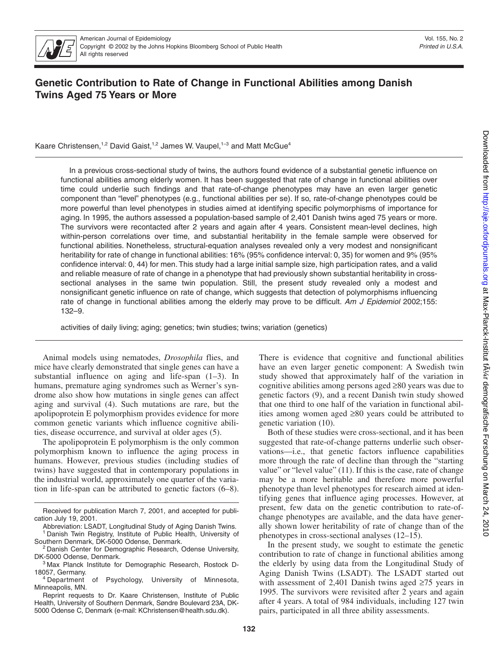

# **Genetic Contribution to Rate of Change in Functional Abilities among Danish Twins Aged 75 Years or More**

Kaare Christensen,<sup>1,2</sup> David Gaist,<sup>1,2</sup> James W. Vaupel,<sup>1-3</sup> and Matt McGue<sup>4</sup>

In a previous cross-sectional study of twins, the authors found evidence of a substantial genetic influence on functional abilities among elderly women. It has been suggested that rate of change in functional abilities over time could underlie such findings and that rate-of-change phenotypes may have an even larger genetic component than "level" phenotypes (e.g., functional abilities per se). If so, rate-of-change phenotypes could be more powerful than level phenotypes in studies aimed at identifying specific polymorphisms of importance for aging. In 1995, the authors assessed a population-based sample of 2,401 Danish twins aged 75 years or more. The survivors were recontacted after 2 years and again after 4 years. Consistent mean-level declines, high within-person correlations over time, and substantial heritability in the female sample were observed for functional abilities. Nonetheless, structural-equation analyses revealed only a very modest and nonsignificant heritability for rate of change in functional abilities: 16% (95% confidence interval: 0, 35) for women and 9% (95% confidence interval: 0, 44) for men. This study had a large initial sample size, high participation rates, and a valid and reliable measure of rate of change in a phenotype that had previously shown substantial heritability in crosssectional analyses in the same twin population. Still, the present study revealed only a modest and nonsignificant genetic influence on rate of change, which suggests that detection of polymorphisms influencing rate of change in functional abilities among the elderly may prove to be difficult. *Am J Epidemiol* 2002;155: 132–9.

activities of daily living; aging; genetics; twin studies; twins; variation (genetics)

Animal models using nematodes, *Drosophila* flies, and mice have clearly demonstrated that single genes can have a substantial influence on aging and life-span (1–3). In humans, premature aging syndromes such as Werner's syndrome also show how mutations in single genes can affect aging and survival (4). Such mutations are rare, but the apolipoprotein E polymorphism provides evidence for more common genetic variants which influence cognitive abilities, disease occurrence, and survival at older ages (5).

The apolipoprotein E polymorphism is the only common polymorphism known to influence the aging process in humans. However, previous studies (including studies of twins) have suggested that in contemporary populations in the industrial world, approximately one quarter of the variation in life-span can be attributed to genetic factors (6–8). There is evidence that cognitive and functional abilities have an even larger genetic component: A Swedish twin study showed that approximately half of the variation in cognitive abilities among persons aged ≥80 years was due to genetic factors (9), and a recent Danish twin study showed that one third to one half of the variation in functional abilities among women aged ≥80 years could be attributed to genetic variation (10).

Both of these studies were cross-sectional, and it has been suggested that rate-of-change patterns underlie such observations—i.e., that genetic factors influence capabilities more through the rate of decline than through the "starting value" or "level value" (11). If this is the case, rate of change may be a more heritable and therefore more powerful phenotype than level phenotypes for research aimed at identifying genes that influence aging processes. However, at present, few data on the genetic contribution to rate-ofchange phenotypes are available, and the data have generally shown lower heritability of rate of change than of the phenotypes in cross-sectional analyses (12–15).

In the present study, we sought to estimate the genetic contribution to rate of change in functional abilities among the elderly by using data from the Longitudinal Study of Aging Danish Twins (LSADT). The LSADT started out with assessment of 2,401 Danish twins aged ≥75 years in 1995. The survivors were revisited after 2 years and again after 4 years. A total of 984 individuals, including 127 twin pairs, participated in all three ability assessments.

Received for publication March 7, 2001, and accepted for publication July 19, 2001.

Abbreviation: LSADT, Longitudinal Study of Aging Danish Twins. Danish Twin Registry, Institute of Public Health, University of

Southern Denmark, DK-5000 Odense, Denmark.<br><sup>2</sup> Danish Center for Demographic Research, Odense University, DK-5000 Odense, Denmark.

Max Planck Institute for Demographic Research, Rostock D-

<sup>18057,</sup> Germany.<br><sup>4</sup> Department of Psychology, University of Minnesota, Minneapolis, MN.

Reprint requests to Dr. Kaare Christensen, Institute of Public Health, University of Southern Denmark, Søndre Boulevard 23A, DK-5000 Odense C, Denmark (e-mail: KChristensen@health.sdu.dk).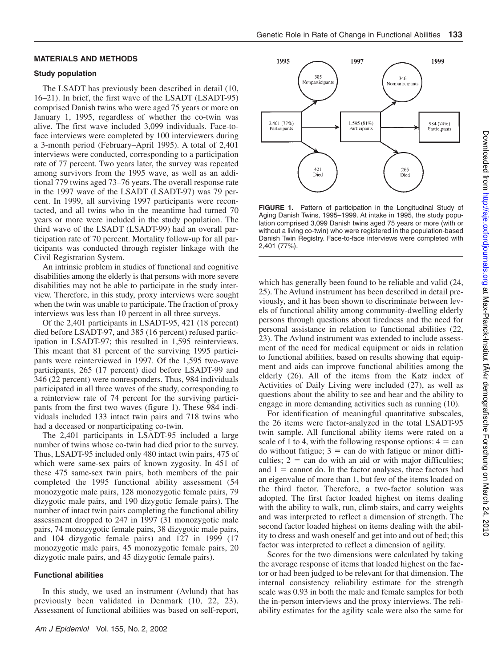# **MATERIALS AND METHODS**

#### **Study population**

The LSADT has previously been described in detail (10, 16–21). In brief, the first wave of the LSADT (LSADT-95) comprised Danish twins who were aged 75 years or more on January 1, 1995, regardless of whether the co-twin was alive. The first wave included 3,099 individuals. Face-toface interviews were completed by 100 interviewers during a 3-month period (February–April 1995). A total of 2,401 interviews were conducted, corresponding to a participation rate of 77 percent. Two years later, the survey was repeated among survivors from the 1995 wave, as well as an additional 779 twins aged 73–76 years. The overall response rate in the 1997 wave of the LSADT (LSADT-97) was 79 percent. In 1999, all surviving 1997 participants were recontacted, and all twins who in the meantime had turned 70 years or more were included in the study population. The third wave of the LSADT (LSADT-99) had an overall participation rate of 70 percent. Mortality follow-up for all participants was conducted through register linkage with the Civil Registration System.

An intrinsic problem in studies of functional and cognitive disabilities among the elderly is that persons with more severe disabilities may not be able to participate in the study interview. Therefore, in this study, proxy interviews were sought when the twin was unable to participate. The fraction of proxy interviews was less than 10 percent in all three surveys.

Of the 2,401 participants in LSADT-95, 421 (18 percent) died before LSADT-97, and 385 (16 percent) refused participation in LSADT-97; this resulted in 1,595 reinterviews. This meant that 81 percent of the surviving 1995 participants were reinterviewed in 1997. Of the 1,595 two-wave participants, 265 (17 percent) died before LSADT-99 and 346 (22 percent) were nonresponders. Thus, 984 individuals participated in all three waves of the study, corresponding to a reinterview rate of 74 percent for the surviving participants from the first two waves (figure 1). These 984 individuals included 133 intact twin pairs and 718 twins who had a deceased or nonparticipating co-twin.

The 2,401 participants in LSADT-95 included a large number of twins whose co-twin had died prior to the survey. Thus, LSADT-95 included only 480 intact twin pairs, 475 of which were same-sex pairs of known zygosity. In 451 of these 475 same-sex twin pairs, both members of the pair completed the 1995 functional ability assessment (54 monozygotic male pairs, 128 monozygotic female pairs, 79 dizygotic male pairs, and 190 dizygotic female pairs). The number of intact twin pairs completing the functional ability assessment dropped to 247 in 1997 (31 monozygotic male pairs, 74 monozygotic female pairs, 38 dizygotic male pairs, and 104 dizygotic female pairs) and 127 in 1999 (17 monozygotic male pairs, 45 monozygotic female pairs, 20 dizygotic male pairs, and 45 dizygotic female pairs).

#### **Functional abilities**

In this study, we used an instrument (Avlund) that has previously been validated in Denmark (10, 22, 23). Assessment of functional abilities was based on self-report,



**FIGURE 1.** Pattern of participation in the Longitudinal Study of Aging Danish Twins, 1995–1999. At intake in 1995, the study population comprised 3,099 Danish twins aged 75 years or more (with or without a living co-twin) who were registered in the population-based Danish Twin Registry. Face-to-face interviews were completed with 2,401 (77%).

which has generally been found to be reliable and valid (24, 25). The Avlund instrument has been described in detail previously, and it has been shown to discriminate between levels of functional ability among community-dwelling elderly persons through questions about tiredness and the need for personal assistance in relation to functional abilities (22, 23). The Avlund instrument was extended to include assessment of the need for medical equipment or aids in relation to functional abilities, based on results showing that equipment and aids can improve functional abilities among the elderly (26). All of the items from the Katz index of Activities of Daily Living were included (27), as well as questions about the ability to see and hear and the ability to engage in more demanding activities such as running (10).

For identification of meaningful quantitative subscales, the 26 items were factor-analyzed in the total LSADT-95 twin sample. All functional ability items were rated on a scale of 1 to 4, with the following response options:  $4 = \text{can}$  $d$ o without fatigue;  $3 = \text{can do with fatigue or minor diffi-}$ culties;  $2 = \text{can do with an aid or with major difficulties};$ and  $1 =$  cannot do. In the factor analyses, three factors had an eigenvalue of more than 1, but few of the items loaded on the third factor. Therefore, a two-factor solution was adopted. The first factor loaded highest on items dealing with the ability to walk, run, climb stairs, and carry weights and was interpreted to reflect a dimension of strength. The second factor loaded highest on items dealing with the ability to dress and wash oneself and get into and out of bed; this factor was interpreted to reflect a dimension of agility.

Scores for the two dimensions were calculated by taking the average response of items that loaded highest on the factor or had been judged to be relevant for that dimension. The internal consistency reliability estimate for the strength scale was 0.93 in both the male and female samples for both the in-person interviews and the proxy interviews. The reliability estimates for the agility scale were also the same for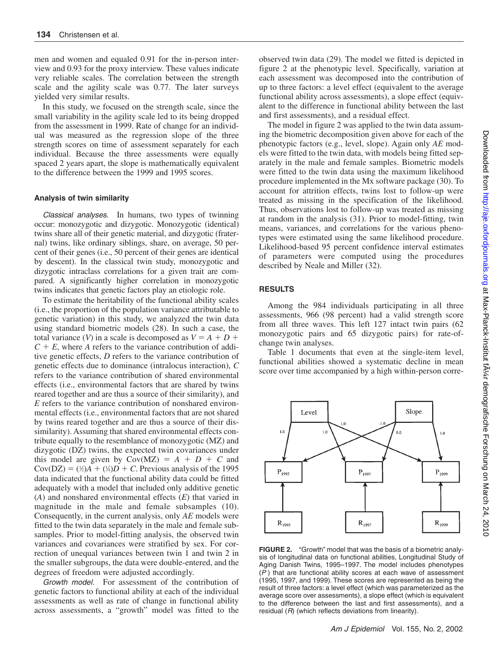men and women and equaled 0.91 for the in-person interview and 0.93 for the proxy interview. These values indicate very reliable scales. The correlation between the strength scale and the agility scale was 0.77. The later surveys yielded very similar results.

In this study, we focused on the strength scale, since the small variability in the agility scale led to its being dropped from the assessment in 1999. Rate of change for an individual was measured as the regression slope of the three strength scores on time of assessment separately for each individual. Because the three assessments were equally spaced 2 years apart, the slope is mathematically equivalent to the difference between the 1999 and 1995 scores.

### **Analysis of twin similarity**

*Classical analyses.* In humans, two types of twinning occur: monozygotic and dizygotic. Monozygotic (identical) twins share all of their genetic material, and dizygotic (fraternal) twins, like ordinary siblings, share, on average, 50 percent of their genes (i.e., 50 percent of their genes are identical by descent). In the classical twin study, monozygotic and dizygotic intraclass correlations for a given trait are compared. A significantly higher correlation in monozygotic twins indicates that genetic factors play an etiologic role.

To estimate the heritability of the functional ability scales (i.e., the proportion of the population variance attributable to genetic variation) in this study, we analyzed the twin data using standard biometric models (28). In such a case, the total variance (*V*) in a scale is decomposed as  $V = A + D +$  $C + E$ , where *A* refers to the variance contribution of additive genetic effects, *D* refers to the variance contribution of genetic effects due to dominance (intralocus interaction), *C* refers to the variance contribution of shared environmental effects (i.e., environmental factors that are shared by twins reared together and are thus a source of their similarity), and *E* refers to the variance contribution of nonshared environmental effects (i.e., environmental factors that are not shared by twins reared together and are thus a source of their dissimilarity). Assuming that shared environmental effects contribute equally to the resemblance of monozygotic (MZ) and dizygotic (DZ) twins, the expected twin covariances under this model are given by  $Cov(MZ) = A + D + C$  and  $Cov(DZ) = (\frac{1}{2}A + (\frac{1}{4}D + C)$ . Previous analysis of the 1995 data indicated that the functional ability data could be fitted adequately with a model that included only additive genetic (*A*) and nonshared environmental effects (*E*) that varied in magnitude in the male and female subsamples (10). Consequently, in the current analysis, only *AE* models were fitted to the twin data separately in the male and female subsamples. Prior to model-fitting analysis, the observed twin variances and covariances were stratified by sex. For correction of unequal variances between twin 1 and twin 2 in the smaller subgroups, the data were double-entered, and the degrees of freedom were adjusted accordingly.

*Growth model.* For assessment of the contribution of genetic factors to functional ability at each of the individual assessments as well as rate of change in functional ability across assessments, a "growth" model was fitted to the

observed twin data (29). The model we fitted is depicted in figure 2 at the phenotypic level. Specifically, variation at each assessment was decomposed into the contribution of up to three factors: a level effect (equivalent to the average functional ability across assessments), a slope effect (equivalent to the difference in functional ability between the last and first assessments), and a residual effect.

The model in figure 2 was applied to the twin data assuming the biometric decomposition given above for each of the phenotypic factors (e.g., level, slope). Again only *AE* models were fitted to the twin data, with models being fitted separately in the male and female samples. Biometric models were fitted to the twin data using the maximum likelihood procedure implemented in the Mx software package (30). To account for attrition effects, twins lost to follow-up were treated as missing in the specification of the likelihood. Thus, observations lost to follow-up was treated as missing at random in the analysis (31). Prior to model-fitting, twin means, variances, and correlations for the various phenotypes were estimated using the same likelihood procedure. Likelihood-based 95 percent confidence interval estimates of parameters were computed using the procedures described by Neale and Miller (32).

#### **RESULTS**

Among the 984 individuals participating in all three assessments, 966 (98 percent) had a valid strength score from all three waves. This left 127 intact twin pairs (62 monozygotic pairs and 65 dizygotic pairs) for rate-ofchange twin analyses.

Table 1 documents that even at the single-item level, functional abilities showed a systematic decline in mean score over time accompanied by a high within-person corre-



**FIGURE 2.** "Growth" model that was the basis of a biometric analysis of longitudinal data on functional abilities, Longitudinal Study of Aging Danish Twins, 1995–1997. The model includes phenotypes (*P* ) that are functional ability scores at each wave of assessment (1995, 1997, and 1999). These scores are represented as being the result of three factors: a level effect (which was parameterized as the average score over assessments), a slope effect (which is equivalent to the difference between the last and first assessments), and a residual (*R*) (which reflects deviations from linearity).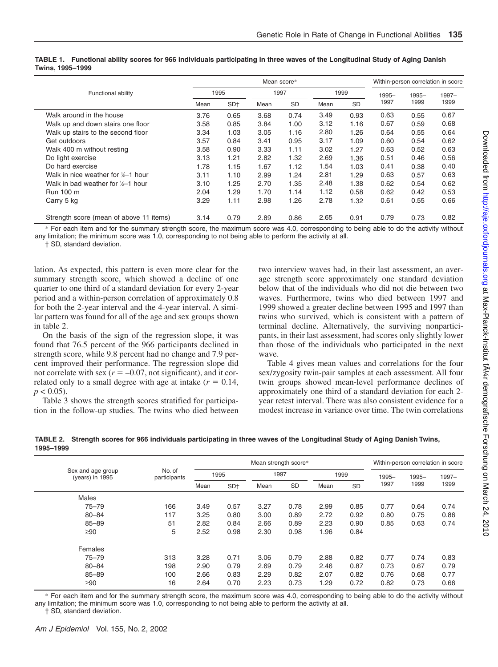|                                         |      |                 |      | Mean score* |      |      |          |          | Within-person correlation in score |
|-----------------------------------------|------|-----------------|------|-------------|------|------|----------|----------|------------------------------------|
| Functional ability                      |      | 1995            |      | 1997        |      | 1999 | $1995 -$ | $1995 -$ | 1997-                              |
|                                         | Mean | SD <sup>+</sup> | Mean | <b>SD</b>   | Mean | SD   | 1997     | 1999     | 1999                               |
| Walk around in the house                | 3.76 | 0.65            | 3.68 | 0.74        | 3.49 | 0.93 | 0.63     | 0.55     | 0.67                               |
| Walk up and down stairs one floor       | 3.58 | 0.85            | 3.84 | 1.00        | 3.12 | 1.16 | 0.67     | 0.59     | 0.68                               |
| Walk up stairs to the second floor      | 3.34 | 1.03            | 3.05 | 1.16        | 2.80 | 1.26 | 0.64     | 0.55     | 0.64                               |
| Get outdoors                            | 3.57 | 0.84            | 3.41 | 0.95        | 3.17 | 1.09 | 0.60     | 0.54     | 0.62                               |
| Walk 400 m without resting              | 3.58 | 0.90            | 3.33 | 1.11        | 3.02 | 1.27 | 0.63     | 0.52     | 0.63                               |
| Do light exercise                       | 3.13 | 1.21            | 2.82 | 1.32        | 2.69 | 1.36 | 0.51     | 0.46     | 0.56                               |
| Do hard exercise                        | 1.78 | 1.15            | 1.67 | 1.12        | 1.54 | 1.03 | 0.41     | 0.38     | 0.40                               |
| Walk in nice weather for 1/2-1 hour     | 3.11 | 1.10            | 2.99 | 1.24        | 2.81 | 1.29 | 0.63     | 0.57     | 0.63                               |
| Walk in bad weather for 1/2-1 hour      | 3.10 | 1.25            | 2.70 | 1.35        | 2.48 | 1.38 | 0.62     | 0.54     | 0.62                               |
| Run 100 m                               | 2.04 | 1.29            | 1.70 | 1.14        | 1.12 | 0.58 | 0.62     | 0.42     | 0.53                               |
| Carry 5 kg                              | 3.29 | 1.11            | 2.98 | 1.26        | 2.78 | 1.32 | 0.61     | 0.55     | 0.66                               |
| Strength score (mean of above 11 items) | 3.14 | 0.79            | 2.89 | 0.86        | 2.65 | 0.91 | 0.79     | 0.73     | 0.82                               |

#### **TABLE 1. Functional ability scores for 966 individuals participating in three waves of the Longitudinal Study of Aging Danish Twins, 1995–1999**

\* For each item and for the summary strength score, the maximum score was 4.0, corresponding to being able to do the activity without any limitation; the minimum score was 1.0, corresponding to not being able to perform the activity at all.

† SD, standard deviation.

lation. As expected, this pattern is even more clear for the summary strength score, which showed a decline of one quarter to one third of a standard deviation for every 2-year period and a within-person correlation of approximately 0.8 for both the 2-year interval and the 4-year interval. A similar pattern was found for all of the age and sex groups shown in table 2.

On the basis of the sign of the regression slope, it was found that 76.5 percent of the 966 participants declined in strength score, while 9.8 percent had no change and 7.9 percent improved their performance. The regression slope did not correlate with sex  $(r = -0.07)$ , not significant), and it correlated only to a small degree with age at intake  $(r = 0.14,$  $p < 0.05$ ).

Table 3 shows the strength scores stratified for participation in the follow-up studies. The twins who died between two interview waves had, in their last assessment, an average strength score approximately one standard deviation below that of the individuals who did not die between two waves. Furthermore, twins who died between 1997 and 1999 showed a greater decline between 1995 and 1997 than twins who survived, which is consistent with a pattern of terminal decline. Alternatively, the surviving nonparticipants, in their last assessment, had scores only slightly lower than those of the individuals who participated in the next wave.

Table 4 gives mean values and correlations for the four sex/zygosity twin-pair samples at each assessment. All four twin groups showed mean-level performance declines of approximately one third of a standard deviation for each 2 year retest interval. There was also consistent evidence for a modest increase in variance over time. The twin correlations

**TABLE 2. Strength scores for 966 individuals participating in three waves of the Longitudinal Study of Aging Danish Twins, 1995–1999**

|                                      |                        |      |                 |      | Mean strength score* |      |           |       |          | Within-person correlation in score |
|--------------------------------------|------------------------|------|-----------------|------|----------------------|------|-----------|-------|----------|------------------------------------|
| Sex and age group<br>(years) in 1995 | No. of<br>participants |      | 1995            |      | 1997                 |      | 1999      | 1995- | $1995 -$ | $1997 -$                           |
|                                      |                        | Mean | SD <sup>+</sup> | Mean | <b>SD</b>            | Mean | <b>SD</b> | 1997  | 1999     | 1999                               |
| Males                                |                        |      |                 |      |                      |      |           |       |          |                                    |
| $75 - 79$                            | 166                    | 3.49 | 0.57            | 3.27 | 0.78                 | 2.99 | 0.85      | 0.77  | 0.64     | 0.74                               |
| $80 - 84$                            | 117                    | 3.25 | 0.80            | 3.00 | 0.89                 | 2.72 | 0.92      | 0.80  | 0.75     | 0.86                               |
| 85-89                                | 51                     | 2.82 | 0.84            | 2.66 | 0.89                 | 2.23 | 0.90      | 0.85  | 0.63     | 0.74                               |
| $\geq 90$                            | 5                      | 2.52 | 0.98            | 2.30 | 0.98                 | 1.96 | 0.84      |       |          |                                    |
| Females                              |                        |      |                 |      |                      |      |           |       |          |                                    |
| $75 - 79$                            | 313                    | 3.28 | 0.71            | 3.06 | 0.79                 | 2.88 | 0.82      | 0.77  | 0.74     | 0.83                               |
| $80 - 84$                            | 198                    | 2.90 | 0.79            | 2.69 | 0.79                 | 2.46 | 0.87      | 0.73  | 0.67     | 0.79                               |
| $85 - 89$                            | 100                    | 2.66 | 0.83            | 2.29 | 0.82                 | 2.07 | 0.82      | 0.76  | 0.68     | 0.77                               |
| ≥90                                  | 16                     | 2.64 | 0.70            | 2.23 | 0.73                 | 1.29 | 0.72      | 0.82  | 0.73     | 0.66                               |

\* For each item and for the summary strength score, the maximum score was 4.0, corresponding to being able to do the activity without any limitation; the minimum score was 1.0, corresponding to not being able to perform the activity at all.

† SD, standard deviation.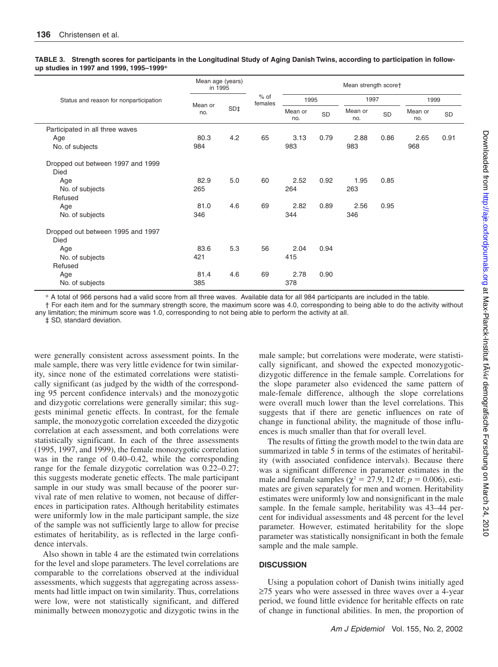#### **TABLE 3. Strength scores for participants in the Longitudinal Study of Aging Danish Twins, according to participation in followup studies in 1997 and 1999, 1995–1999\***

|                                                  | Mean age (years)<br>in 1995 |     |                   |                |           | Mean strength score† |      |                |      |
|--------------------------------------------------|-----------------------------|-----|-------------------|----------------|-----------|----------------------|------|----------------|------|
| Status and reason for nonparticipation           | Mean or                     |     | $%$ of<br>females |                | 1995      |                      | 1997 | 1999           |      |
|                                                  | no.                         | SD‡ |                   | Mean or<br>no. | <b>SD</b> | Mean or<br>no.       | SD   | Mean or<br>no. | SD   |
| Participated in all three waves                  |                             |     |                   |                |           |                      |      |                |      |
| Age<br>No. of subjects                           | 80.3<br>984                 | 4.2 | 65                | 3.13<br>983    | 0.79      | 2.88<br>983          | 0.86 | 2.65<br>968    | 0.91 |
| Dropped out between 1997 and 1999<br><b>Died</b> |                             |     |                   |                |           |                      |      |                |      |
| Age<br>No. of subjects<br>Refused                | 82.9<br>265                 | 5.0 | 60                | 2.52<br>264    | 0.92      | 1.95<br>263          | 0.85 |                |      |
| Age<br>No. of subjects                           | 81.0<br>346                 | 4.6 | 69                | 2.82<br>344    | 0.89      | 2.56<br>346          | 0.95 |                |      |
| Dropped out between 1995 and 1997<br><b>Died</b> |                             |     |                   |                |           |                      |      |                |      |
| Age<br>No. of subjects<br>Refused                | 83.6<br>421                 | 5.3 | 56                | 2.04<br>415    | 0.94      |                      |      |                |      |
| Age<br>No. of subjects                           | 81.4<br>385                 | 4.6 | 69                | 2.78<br>378    | 0.90      |                      |      |                |      |

\* A total of 966 persons had a valid score from all three waves. Available data for all 984 participants are included in the table.

† For each item and for the summary strength score, the maximum score was 4.0, corresponding to being able to do the activity without any limitation; the minimum score was 1.0, corresponding to not being able to perform the activity at all.

‡ SD, standard deviation.

were generally consistent across assessment points. In the male sample, there was very little evidence for twin similarity, since none of the estimated correlations were statistically significant (as judged by the width of the corresponding 95 percent confidence intervals) and the monozygotic and dizygotic correlations were generally similar; this suggests minimal genetic effects. In contrast, for the female sample, the monozygotic correlation exceeded the dizygotic correlation at each assessment, and both correlations were statistically significant. In each of the three assessments (1995, 1997, and 1999), the female monozygotic correlation was in the range of 0.40–0.42, while the corresponding range for the female dizygotic correlation was 0.22–0.27; this suggests moderate genetic effects. The male participant sample in our study was small because of the poorer survival rate of men relative to women, not because of differences in participation rates. Although heritability estimates were uniformly low in the male participant sample, the size of the sample was not sufficiently large to allow for precise estimates of heritability, as is reflected in the large confidence intervals.

Also shown in table 4 are the estimated twin correlations for the level and slope parameters. The level correlations are comparable to the correlations observed at the individual assessments, which suggests that aggregating across assessments had little impact on twin similarity. Thus, correlations were low, were not statistically significant, and differed minimally between monozygotic and dizygotic twins in the

male sample; but correlations were moderate, were statistically significant, and showed the expected monozygoticdizygotic difference in the female sample. Correlations for the slope parameter also evidenced the same pattern of male-female difference, although the slope correlations were overall much lower than the level correlations. This suggests that if there are genetic influences on rate of change in functional ability, the magnitude of those influences is much smaller than that for overall level.

The results of fitting the growth model to the twin data are summarized in table 5 in terms of the estimates of heritability (with associated confidence intervals). Because there was a significant difference in parameter estimates in the male and female samples ( $\chi^2 = 27.9$ , 12 df;  $p = 0.006$ ), estimates are given separately for men and women. Heritability estimates were uniformly low and nonsignificant in the male sample. In the female sample, heritability was 43–44 percent for individual assessments and 48 percent for the level parameter. However, estimated heritability for the slope parameter was statistically nonsignificant in both the female sample and the male sample.

# **DISCUSSION**

Using a population cohort of Danish twins initially aged ≥75 years who were assessed in three waves over a 4-year period, we found little evidence for heritable effects on rate of change in functional abilities. In men, the proportion of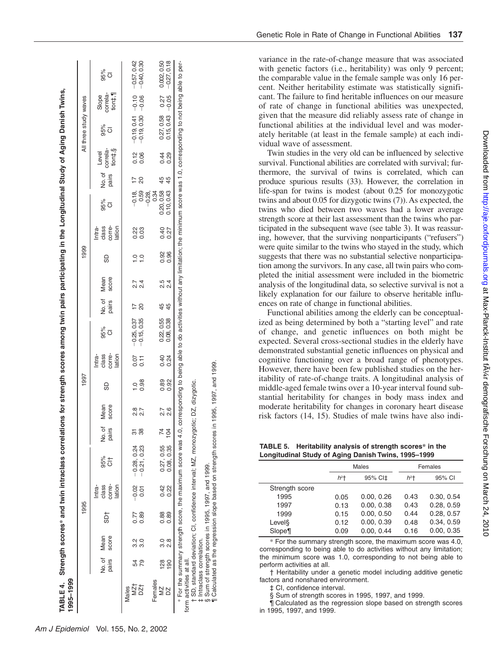| 1995-1999               |               |                      |      |                                     | TABLE 4. Strength scores* and twin intraclass corre                                |                 |               |                     |                                     | elations for strength scores among twin pairs participating in the Longitudinal Study of Aging Danish Twins,                                 |                 |                       |                             |                                     |                            |                |                              |                              |                              |                                                                            |
|-------------------------|---------------|----------------------|------|-------------------------------------|------------------------------------------------------------------------------------|-----------------|---------------|---------------------|-------------------------------------|----------------------------------------------------------------------------------------------------------------------------------------------|-----------------|-----------------------|-----------------------------|-------------------------------------|----------------------------|----------------|------------------------------|------------------------------|------------------------------|----------------------------------------------------------------------------|
|                         |               |                      | 1995 |                                     |                                                                                    |                 |               | 1997                |                                     |                                                                                                                                              |                 |                       | 1999                        |                                     |                            |                |                              | All three study waves        |                              |                                                                            |
|                         | pairs         | score<br>No. of Mean | 55   | class<br>corre-<br>lation<br>Intra- | $rac{6}{6}$                                                                        | No. of<br>pairs | Mean<br>score | 60                  | class<br>corre-<br>lation<br>Intra- | စ္တီ ၀                                                                                                                                       | No. of<br>pairs | Mean<br>score         | 69                          | class<br>corre-<br>lation<br>Intra- | စိစီ<br>ဝ                  | No.of<br>pairs | correla-<br>tion‡,§<br>Level | 95%<br>O                     | Slope<br>correla-<br>tion‡,¶ | န္တီ ၀                                                                     |
| NZT<br>DZT<br>Males     |               | 3.2                  | 0.77 | $-0.02$                             | $-0.28, 0.24$                                                                      | 58<br>38        | 2.8           |                     | 0.07                                | $-0.25, 0.37$<br>$-0.15, 0.35$                                                                                                               | $\frac{7}{20}$  |                       |                             |                                     | −0.59<br>−<br>−            |                |                              |                              |                              | $-0.19, 0.41$ $-0.10$ $-0.57, 0.42$<br>$-0.19, 0.30$ $-0.06$ $-0.40, 0.30$ |
|                         | 79            | 3.0                  | 0.89 | 0.01                                | $-0.21, 0.23$                                                                      |                 | 2.7           | $\frac{0.98}{0.08}$ | $\overline{0}$ .11                  |                                                                                                                                              |                 | 2. 4<br>2. 4          | $\frac{1}{2}$ $\frac{1}{2}$ | 0.23<br>0.03                        |                            | $\overline{c}$ | $\frac{2}{3}$ 8              |                              |                              |                                                                            |
| Females<br>≊            | 128           | <u>ვ (</u>           | 0.88 | 0.42                                | 0.27, 0.55                                                                         | $\frac{10}{4}$  |               | 0.89                | 0.40                                | 0.22, 0.35<br>0.08, 0.38                                                                                                                     | 45<br>45        |                       | 0.92                        | 0.40                                | 0.20, 0.58<br>$-0.28$ , 34 | 45             | 0.44                         | $0.27, 0.58$<br>$0.15, 0.43$ | 0.27                         | $0.002, 0.50$<br>$-0.27, 0.18$                                             |
|                         | $\frac{8}{2}$ | $\frac{8}{2}$        | 0.89 | 0.22                                | 0.08, 0.35                                                                         |                 | 27<br>28      | 0.92                | 0.24                                |                                                                                                                                              |                 | 5<br>2<br>2<br>2<br>2 | 0.96                        | 0.27                                | 0.10, 0.43                 |                | 0.29                         |                              | $-0.05$                      |                                                                            |
|                         |               |                      |      |                                     | * For the summary strength score, the maximum score was                            |                 |               |                     |                                     | 4.0, corresponding to being able to do activities without any limitation; the minimum score was 1.0, corresponding to not being able to per- |                 |                       |                             |                                     |                            |                |                              |                              |                              |                                                                            |
| form activities at all. |               |                      |      |                                     |                                                                                    |                 |               |                     |                                     |                                                                                                                                              |                 |                       |                             |                                     |                            |                |                              |                              |                              |                                                                            |
|                         |               |                      |      |                                     | † SD, standard deviation; CI, confidence interval; MZ, monozygotic; DZ, dizygotic. |                 |               |                     |                                     |                                                                                                                                              |                 |                       |                             |                                     |                            |                |                              |                              |                              |                                                                            |

intraclass correlation. ‡ Intraclass correlation.

§ Sum of strength scores in 1995, 1997, and 1999. Sum of strength scores in 1995, 1997, and 1999.

¶ Calculated as the regression slope based on strength scores in 1995, 1997, and 1999. Calculated as the regression slope based on strength scores in 1995, 1997, and 1999

variance in the rate-of-change measure that was associated with genetic factors (i.e., heritability) was only 9 percent; the comparable value in the female sample was only 16 percent. Neither heritability estimate was statistically significant. The failure to find heritable influences on our measure of rate of change in functional abilities was unexpected, given that the measure did reliably assess rate of change in functional abilities at the individual level and was moderately heritable (at least in the female sample) at each individual wave of assessment.

Twin studies in the very old can be influenced by selective survival. Functional abilities are correlated with survival; furthermore, the survival of twins is correlated, which can produce spurious results (33). However, the correlation in life-span for twins is modest (about 0.25 for monozygotic twins and about 0.05 for dizygotic twins (7)). As expected, the twins who died between two waves had a lower average strength score at their last assessment than the twins who participated in the subsequent wave (see table 3). It was reassuring, however, that the surviving nonparticipants ("refusers") were quite similar to the twins who stayed in the study, which suggests that there was no substantial selective nonparticipation among the survivors. In any case, all twin pairs who completed the initial assessment were included in the biometric analysis of the longitudinal data, so selective survival is not a likely explanation for our failure to observe heritable influences on rate of change in functional abilities.

Functional abilities among the elderly can be conceptualized as being determined by both a "starting level" and rate of change, and genetic influences on both might be expected. Several cross-sectional studies in the elderly have demonstrated substantial genetic influences on physical and cognitive functioning over a broad range of phenotypes. However, there have been few published studies on the heritability of rate-of-change traits. A longitudinal analysis of middle-aged female twins over a 10-year interval found substantial heritability for changes in body mass index and moderate heritability for changes in coronary heart disease risk factors (14, 15). Studies of male twins have also indi-

**TABLE 5. Heritability analysis of strength scores\* in the Longitudinal Study of Aging Danish Twins, 1995–1999**

|                |                    | Males               |                    | Females    |
|----------------|--------------------|---------------------|--------------------|------------|
|                | $h^2$ <sup>+</sup> | 95% CI <sup>+</sup> | $h^2$ <sup>+</sup> | 95% CI     |
| Strength score |                    |                     |                    |            |
| 1995           | 0.05               | 0.00, 0.26          | 0.43               | 0.30, 0.54 |
| 1997           | 0.13               | 0.00, 0.38          | 0.43               | 0.28.0.59  |
| 1999           | 0.15               | 0.00, 0.50          | 0.44               | 0.28, 0.57 |
| Level§         | 0.12               | 0.00, 0.39          | 0.48               | 0.34, 0.59 |
| Slope¶         | 0.09               | 0.00.0.44           | 0.16               | 0.00, 0.35 |

\* For the summary strength score, the maximum score was 4.0, corresponding to being able to do activities without any limitation; the minimum score was 1.0, corresponding to not being able to perform activities at all.

† Heritability under a genetic model including additive genetic factors and nonshared environment.

‡ CI, confidence interval.

§ Sum of strength scores in 1995, 1997, and 1999.

¶ Calculated as the regression slope based on strength scores in 1995, 1997, and 1999.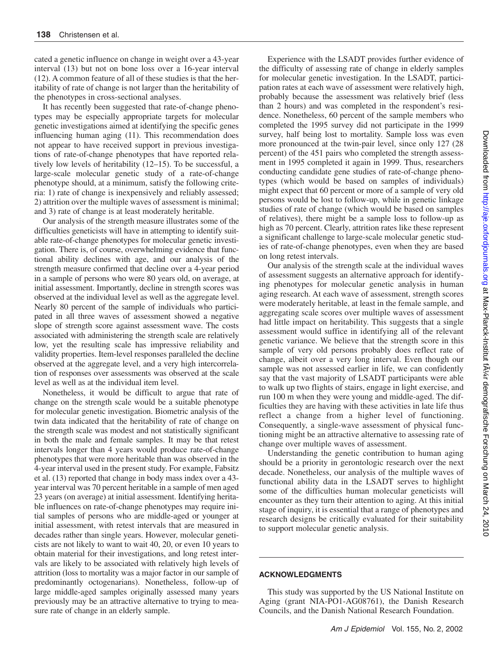cated a genetic influence on change in weight over a 43-year interval (13) but not on bone loss over a 16-year interval (12). A common feature of all of these studies is that the heritability of rate of change is not larger than the heritability of the phenotypes in cross-sectional analyses.

It has recently been suggested that rate-of-change phenotypes may be especially appropriate targets for molecular genetic investigations aimed at identifying the specific genes influencing human aging (11). This recommendation does not appear to have received support in previous investigations of rate-of-change phenotypes that have reported relatively low levels of heritability (12–15). To be successful, a large-scale molecular genetic study of a rate-of-change phenotype should, at a minimum, satisfy the following criteria: 1) rate of change is inexpensively and reliably assessed; 2) attrition over the multiple waves of assessment is minimal; and 3) rate of change is at least moderately heritable.

Our analysis of the strength measure illustrates some of the difficulties geneticists will have in attempting to identify suitable rate-of-change phenotypes for molecular genetic investigation. There is, of course, overwhelming evidence that functional ability declines with age, and our analysis of the strength measure confirmed that decline over a 4-year period in a sample of persons who were 80 years old, on average, at initial assessment. Importantly, decline in strength scores was observed at the individual level as well as the aggregate level. Nearly 80 percent of the sample of individuals who participated in all three waves of assessment showed a negative slope of strength score against assessment wave. The costs associated with administering the strength scale are relatively low, yet the resulting scale has impressive reliability and validity properties. Item-level responses paralleled the decline observed at the aggregate level, and a very high intercorrelation of responses over assessments was observed at the scale level as well as at the individual item level.

Nonetheless, it would be difficult to argue that rate of change on the strength scale would be a suitable phenotype for molecular genetic investigation. Biometric analysis of the twin data indicated that the heritability of rate of change on the strength scale was modest and not statistically significant in both the male and female samples. It may be that retest intervals longer than 4 years would produce rate-of-change phenotypes that were more heritable than was observed in the 4-year interval used in the present study. For example, Fabsitz et al. (13) reported that change in body mass index over a 43 year interval was 70 percent heritable in a sample of men aged 23 years (on average) at initial assessment. Identifying heritable influences on rate-of-change phenotypes may require initial samples of persons who are middle-aged or younger at initial assessment, with retest intervals that are measured in decades rather than single years. However, molecular geneticists are not likely to want to wait 40, 20, or even 10 years to obtain material for their investigations, and long retest intervals are likely to be associated with relatively high levels of attrition (loss to mortality was a major factor in our sample of predominantly octogenarians). Nonetheless, follow-up of large middle-aged samples originally assessed many years previously may be an attractive alternative to trying to measure rate of change in an elderly sample.

Experience with the LSADT provides further evidence of the difficulty of assessing rate of change in elderly samples for molecular genetic investigation. In the LSADT, participation rates at each wave of assessment were relatively high, probably because the assessment was relatively brief (less than 2 hours) and was completed in the respondent's residence. Nonetheless, 60 percent of the sample members who completed the 1995 survey did not participate in the 1999 survey, half being lost to mortality. Sample loss was even more pronounced at the twin-pair level, since only 127 (28 percent) of the 451 pairs who completed the strength assessment in 1995 completed it again in 1999. Thus, researchers conducting candidate gene studies of rate-of-change phenotypes (which would be based on samples of individuals) might expect that 60 percent or more of a sample of very old persons would be lost to follow-up, while in genetic linkage studies of rate of change (which would be based on samples of relatives), there might be a sample loss to follow-up as high as 70 percent. Clearly, attrition rates like these represent a significant challenge to large-scale molecular genetic studies of rate-of-change phenotypes, even when they are based on long retest intervals.

Our analysis of the strength scale at the individual waves of assessment suggests an alternative approach for identifying phenotypes for molecular genetic analysis in human aging research. At each wave of assessment, strength scores were moderately heritable, at least in the female sample, and aggregating scale scores over multiple waves of assessment had little impact on heritability. This suggests that a single assessment would suffice in identifying all of the relevant genetic variance. We believe that the strength score in this sample of very old persons probably does reflect rate of change, albeit over a very long interval. Even though our sample was not assessed earlier in life, we can confidently say that the vast majority of LSADT participants were able to walk up two flights of stairs, engage in light exercise, and run 100 m when they were young and middle-aged. The difficulties they are having with these activities in late life thus reflect a change from a higher level of functioning. Consequently, a single-wave assessment of physical functioning might be an attractive alternative to assessing rate of change over multiple waves of assessment.

Understanding the genetic contribution to human aging should be a priority in gerontologic research over the next decade. Nonetheless, our analysis of the multiple waves of functional ability data in the LSADT serves to highlight some of the difficulties human molecular geneticists will encounter as they turn their attention to aging. At this initial stage of inquiry, it is essential that a range of phenotypes and research designs be critically evaluated for their suitability to support molecular genetic analysis.

# **ACKNOWLEDGMENTS**

This study was supported by the US National Institute on Aging (grant NIA-PO1-AG08761), the Danish Research Councils, and the Danish National Research Foundation.